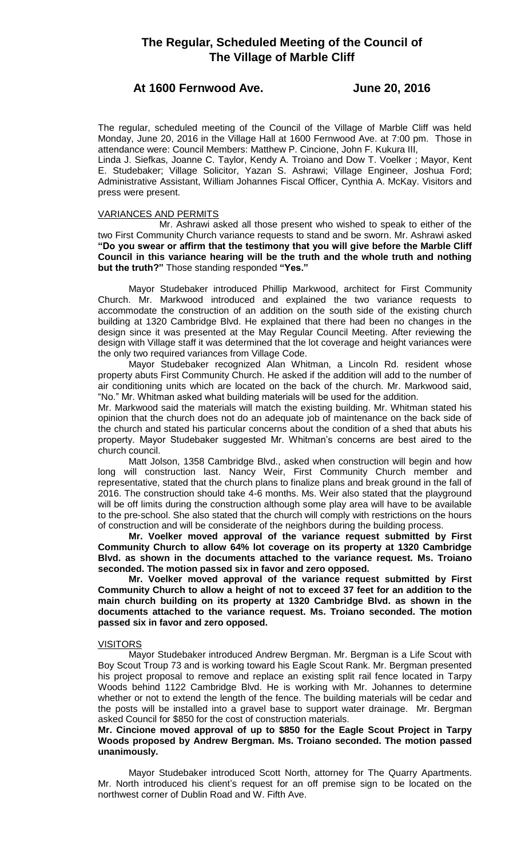# **The Regular, Scheduled Meeting of the Council of The Village of Marble Cliff**

## **At 1600 Fernwood Ave. June 20, 2016**

The regular, scheduled meeting of the Council of the Village of Marble Cliff was held Monday, June 20, 2016 in the Village Hall at 1600 Fernwood Ave. at 7:00 pm. Those in attendance were: Council Members: Matthew P. Cincione, John F. Kukura III,

Linda J. Siefkas, Joanne C. Taylor, Kendy A. Troiano and Dow T. Voelker ; Mayor, Kent E. Studebaker; Village Solicitor, Yazan S. Ashrawi; Village Engineer, Joshua Ford; Administrative Assistant, William Johannes Fiscal Officer, Cynthia A. McKay. Visitors and press were present.

## VARIANCES AND PERMITS

Mr. Ashrawi asked all those present who wished to speak to either of the two First Community Church variance requests to stand and be sworn. Mr. Ashrawi asked **"Do you swear or affirm that the testimony that you will give before the Marble Cliff Council in this variance hearing will be the truth and the whole truth and nothing but the truth?"** Those standing responded **"Yes."**

Mayor Studebaker introduced Phillip Markwood, architect for First Community Church. Mr. Markwood introduced and explained the two variance requests to accommodate the construction of an addition on the south side of the existing church building at 1320 Cambridge Blvd. He explained that there had been no changes in the design since it was presented at the May Regular Council Meeting. After reviewing the design with Village staff it was determined that the lot coverage and height variances were the only two required variances from Village Code.

Mayor Studebaker recognized Alan Whitman, a Lincoln Rd. resident whose property abuts First Community Church. He asked if the addition will add to the number of air conditioning units which are located on the back of the church. Mr. Markwood said, "No." Mr. Whitman asked what building materials will be used for the addition.

Mr. Markwood said the materials will match the existing building. Mr. Whitman stated his opinion that the church does not do an adequate job of maintenance on the back side of the church and stated his particular concerns about the condition of a shed that abuts his property. Mayor Studebaker suggested Mr. Whitman's concerns are best aired to the church council.

Matt Jolson, 1358 Cambridge Blvd., asked when construction will begin and how long will construction last. Nancy Weir, First Community Church member and representative, stated that the church plans to finalize plans and break ground in the fall of 2016. The construction should take 4-6 months. Ms. Weir also stated that the playground will be off limits during the construction although some play area will have to be available to the pre-school. She also stated that the church will comply with restrictions on the hours of construction and will be considerate of the neighbors during the building process.

**Mr. Voelker moved approval of the variance request submitted by First Community Church to allow 64% lot coverage on its property at 1320 Cambridge Blvd. as shown in the documents attached to the variance request. Ms. Troiano seconded. The motion passed six in favor and zero opposed.** 

**Mr. Voelker moved approval of the variance request submitted by First Community Church to allow a height of not to exceed 37 feet for an addition to the main church building on its property at 1320 Cambridge Blvd. as shown in the documents attached to the variance request. Ms. Troiano seconded. The motion passed six in favor and zero opposed.** 

## **VISITORS**

Mayor Studebaker introduced Andrew Bergman. Mr. Bergman is a Life Scout with Boy Scout Troup 73 and is working toward his Eagle Scout Rank. Mr. Bergman presented his project proposal to remove and replace an existing split rail fence located in Tarpy Woods behind 1122 Cambridge Blvd. He is working with Mr. Johannes to determine whether or not to extend the length of the fence. The building materials will be cedar and the posts will be installed into a gravel base to support water drainage. Mr. Bergman asked Council for \$850 for the cost of construction materials.

## **Mr. Cincione moved approval of up to \$850 for the Eagle Scout Project in Tarpy Woods proposed by Andrew Bergman. Ms. Troiano seconded. The motion passed unanimously.**

Mayor Studebaker introduced Scott North, attorney for The Quarry Apartments. Mr. North introduced his client's request for an off premise sign to be located on the northwest corner of Dublin Road and W. Fifth Ave.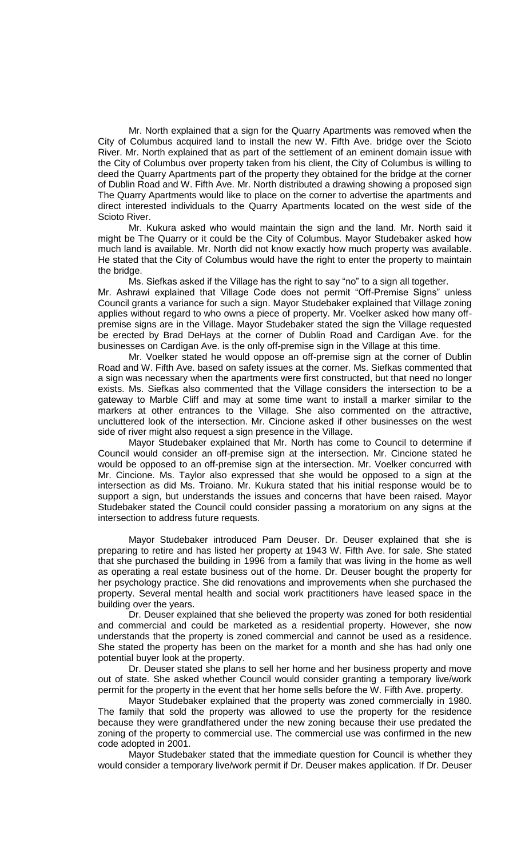Mr. North explained that a sign for the Quarry Apartments was removed when the City of Columbus acquired land to install the new W. Fifth Ave. bridge over the Scioto River. Mr. North explained that as part of the settlement of an eminent domain issue with the City of Columbus over property taken from his client, the City of Columbus is willing to deed the Quarry Apartments part of the property they obtained for the bridge at the corner of Dublin Road and W. Fifth Ave. Mr. North distributed a drawing showing a proposed sign The Quarry Apartments would like to place on the corner to advertise the apartments and direct interested individuals to the Quarry Apartments located on the west side of the Scioto River.

Mr. Kukura asked who would maintain the sign and the land. Mr. North said it might be The Quarry or it could be the City of Columbus. Mayor Studebaker asked how much land is available. Mr. North did not know exactly how much property was available. He stated that the City of Columbus would have the right to enter the property to maintain the bridge.

Ms. Siefkas asked if the Village has the right to say "no" to a sign all together. Mr. Ashrawi explained that Village Code does not permit "Off-Premise Signs" unless Council grants a variance for such a sign. Mayor Studebaker explained that Village zoning applies without regard to who owns a piece of property. Mr. Voelker asked how many offpremise signs are in the Village. Mayor Studebaker stated the sign the Village requested be erected by Brad DeHays at the corner of Dublin Road and Cardigan Ave. for the businesses on Cardigan Ave. is the only off-premise sign in the Village at this time.

Mr. Voelker stated he would oppose an off-premise sign at the corner of Dublin Road and W. Fifth Ave. based on safety issues at the corner. Ms. Siefkas commented that a sign was necessary when the apartments were first constructed, but that need no longer exists. Ms. Siefkas also commented that the Village considers the intersection to be a gateway to Marble Cliff and may at some time want to install a marker similar to the markers at other entrances to the Village. She also commented on the attractive, uncluttered look of the intersection. Mr. Cincione asked if other businesses on the west side of river might also request a sign presence in the Village.

Mayor Studebaker explained that Mr. North has come to Council to determine if Council would consider an off-premise sign at the intersection. Mr. Cincione stated he would be opposed to an off-premise sign at the intersection. Mr. Voelker concurred with Mr. Cincione. Ms. Taylor also expressed that she would be opposed to a sign at the intersection as did Ms. Troiano. Mr. Kukura stated that his initial response would be to support a sign, but understands the issues and concerns that have been raised. Mayor Studebaker stated the Council could consider passing a moratorium on any signs at the intersection to address future requests.

Mayor Studebaker introduced Pam Deuser. Dr. Deuser explained that she is preparing to retire and has listed her property at 1943 W. Fifth Ave. for sale. She stated that she purchased the building in 1996 from a family that was living in the home as well as operating a real estate business out of the home. Dr. Deuser bought the property for her psychology practice. She did renovations and improvements when she purchased the property. Several mental health and social work practitioners have leased space in the building over the years.

Dr. Deuser explained that she believed the property was zoned for both residential and commercial and could be marketed as a residential property. However, she now understands that the property is zoned commercial and cannot be used as a residence. She stated the property has been on the market for a month and she has had only one potential buyer look at the property.

Dr. Deuser stated she plans to sell her home and her business property and move out of state. She asked whether Council would consider granting a temporary live/work permit for the property in the event that her home sells before the W. Fifth Ave. property.

Mayor Studebaker explained that the property was zoned commercially in 1980. The family that sold the property was allowed to use the property for the residence because they were grandfathered under the new zoning because their use predated the zoning of the property to commercial use. The commercial use was confirmed in the new code adopted in 2001.

Mayor Studebaker stated that the immediate question for Council is whether they would consider a temporary live/work permit if Dr. Deuser makes application. If Dr. Deuser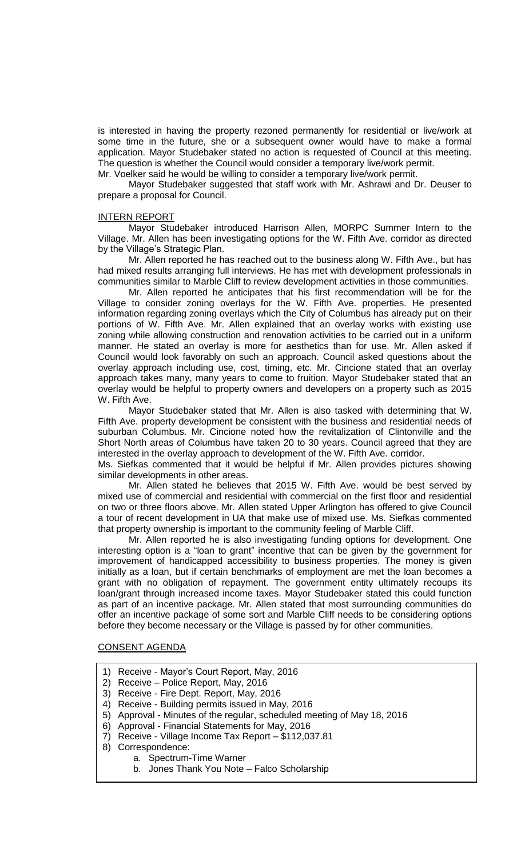is interested in having the property rezoned permanently for residential or live/work at some time in the future, she or a subsequent owner would have to make a formal application. Mayor Studebaker stated no action is requested of Council at this meeting. The question is whether the Council would consider a temporary live/work permit.

Mr. Voelker said he would be willing to consider a temporary live/work permit.

Mayor Studebaker suggested that staff work with Mr. Ashrawi and Dr. Deuser to prepare a proposal for Council.

## INTERN REPORT

Mayor Studebaker introduced Harrison Allen, MORPC Summer Intern to the Village. Mr. Allen has been investigating options for the W. Fifth Ave. corridor as directed by the Village's Strategic Plan.

Mr. Allen reported he has reached out to the business along W. Fifth Ave., but has had mixed results arranging full interviews. He has met with development professionals in communities similar to Marble Cliff to review development activities in those communities.

Mr. Allen reported he anticipates that his first recommendation will be for the Village to consider zoning overlays for the W. Fifth Ave. properties. He presented information regarding zoning overlays which the City of Columbus has already put on their portions of W. Fifth Ave. Mr. Allen explained that an overlay works with existing use zoning while allowing construction and renovation activities to be carried out in a uniform manner. He stated an overlay is more for aesthetics than for use. Mr. Allen asked if Council would look favorably on such an approach. Council asked questions about the overlay approach including use, cost, timing, etc. Mr. Cincione stated that an overlay approach takes many, many years to come to fruition. Mayor Studebaker stated that an overlay would be helpful to property owners and developers on a property such as 2015 W. Fifth Ave.

Mayor Studebaker stated that Mr. Allen is also tasked with determining that W. Fifth Ave. property development be consistent with the business and residential needs of suburban Columbus. Mr. Cincione noted how the revitalization of Clintonville and the Short North areas of Columbus have taken 20 to 30 years. Council agreed that they are interested in the overlay approach to development of the W. Fifth Ave. corridor.

Ms. Siefkas commented that it would be helpful if Mr. Allen provides pictures showing similar developments in other areas.

Mr. Allen stated he believes that 2015 W. Fifth Ave. would be best served by mixed use of commercial and residential with commercial on the first floor and residential on two or three floors above. Mr. Allen stated Upper Arlington has offered to give Council a tour of recent development in UA that make use of mixed use. Ms. Siefkas commented that property ownership is important to the community feeling of Marble Cliff.

Mr. Allen reported he is also investigating funding options for development. One interesting option is a "loan to grant" incentive that can be given by the government for improvement of handicapped accessibility to business properties. The money is given initially as a loan, but if certain benchmarks of employment are met the loan becomes a grant with no obligation of repayment. The government entity ultimately recoups its loan/grant through increased income taxes. Mayor Studebaker stated this could function as part of an incentive package. Mr. Allen stated that most surrounding communities do offer an incentive package of some sort and Marble Cliff needs to be considering options before they become necessary or the Village is passed by for other communities.

## CONSENT AGENDA

- 1) Receive Mayor's Court Report, May, 2016
- 2) Receive Police Report, May, 2016
- 3) Receive Fire Dept. Report, May, 2016
- 4) Receive Building permits issued in May, 2016
- 5) Approval Minutes of the regular, scheduled meeting of May 18, 2016
- 6) Approval Financial Statements for May, 2016
- 7) Receive Village Income Tax Report \$112,037.81
- 8) Correspondence:
	- a. Spectrum-Time Warner
	- b. Jones Thank You Note Falco Scholarship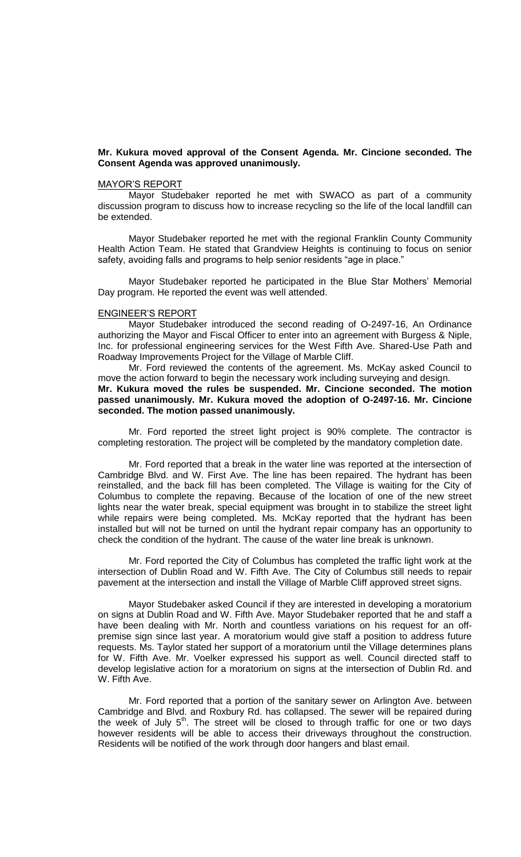## **Mr. Kukura moved approval of the Consent Agenda. Mr. Cincione seconded. The Consent Agenda was approved unanimously.**

### MAYOR'S REPORT

Mayor Studebaker reported he met with SWACO as part of a community discussion program to discuss how to increase recycling so the life of the local landfill can be extended.

Mayor Studebaker reported he met with the regional Franklin County Community Health Action Team. He stated that Grandview Heights is continuing to focus on senior safety, avoiding falls and programs to help senior residents "age in place."

Mayor Studebaker reported he participated in the Blue Star Mothers' Memorial Day program. He reported the event was well attended.

## ENGINEER'S REPORT

Mayor Studebaker introduced the second reading of O-2497-16, An Ordinance authorizing the Mayor and Fiscal Officer to enter into an agreement with Burgess & Niple, Inc. for professional engineering services for the West Fifth Ave. Shared-Use Path and Roadway Improvements Project for the Village of Marble Cliff.

Mr. Ford reviewed the contents of the agreement. Ms. McKay asked Council to move the action forward to begin the necessary work including surveying and design. **Mr. Kukura moved the rules be suspended. Mr. Cincione seconded. The motion passed unanimously. Mr. Kukura moved the adoption of O-2497-16. Mr. Cincione seconded. The motion passed unanimously.**

Mr. Ford reported the street light project is 90% complete. The contractor is completing restoration. The project will be completed by the mandatory completion date.

Mr. Ford reported that a break in the water line was reported at the intersection of Cambridge Blvd. and W. First Ave. The line has been repaired. The hydrant has been reinstalled, and the back fill has been completed. The Village is waiting for the City of Columbus to complete the repaving. Because of the location of one of the new street lights near the water break, special equipment was brought in to stabilize the street light while repairs were being completed. Ms. McKay reported that the hydrant has been installed but will not be turned on until the hydrant repair company has an opportunity to check the condition of the hydrant. The cause of the water line break is unknown.

Mr. Ford reported the City of Columbus has completed the traffic light work at the intersection of Dublin Road and W. Fifth Ave. The City of Columbus still needs to repair pavement at the intersection and install the Village of Marble Cliff approved street signs.

Mayor Studebaker asked Council if they are interested in developing a moratorium on signs at Dublin Road and W. Fifth Ave. Mayor Studebaker reported that he and staff a have been dealing with Mr. North and countless variations on his request for an offpremise sign since last year. A moratorium would give staff a position to address future requests. Ms. Taylor stated her support of a moratorium until the Village determines plans for W. Fifth Ave. Mr. Voelker expressed his support as well. Council directed staff to develop legislative action for a moratorium on signs at the intersection of Dublin Rd. and W. Fifth Ave.

Mr. Ford reported that a portion of the sanitary sewer on Arlington Ave. between Cambridge and Blvd. and Roxbury Rd. has collapsed. The sewer will be repaired during the week of July  $5<sup>th</sup>$ . The street will be closed to through traffic for one or two days however residents will be able to access their driveways throughout the construction. Residents will be notified of the work through door hangers and blast email.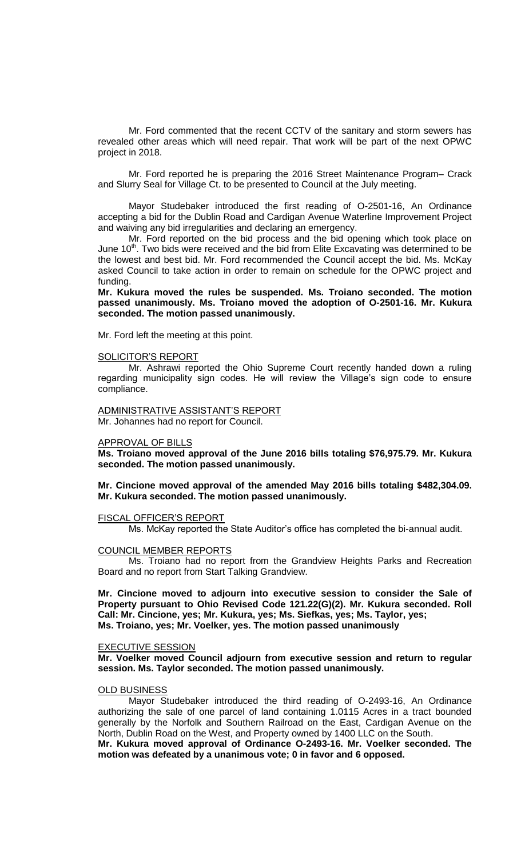Mr. Ford commented that the recent CCTV of the sanitary and storm sewers has revealed other areas which will need repair. That work will be part of the next OPWC project in 2018.

Mr. Ford reported he is preparing the 2016 Street Maintenance Program– Crack and Slurry Seal for Village Ct. to be presented to Council at the July meeting.

Mayor Studebaker introduced the first reading of O-2501-16, An Ordinance accepting a bid for the Dublin Road and Cardigan Avenue Waterline Improvement Project and waiving any bid irregularities and declaring an emergency.

Mr. Ford reported on the bid process and the bid opening which took place on June 10<sup>th</sup>. Two bids were received and the bid from Elite Excavating was determined to be the lowest and best bid. Mr. Ford recommended the Council accept the bid. Ms. McKay asked Council to take action in order to remain on schedule for the OPWC project and funding.

**Mr. Kukura moved the rules be suspended. Ms. Troiano seconded. The motion passed unanimously. Ms. Troiano moved the adoption of O-2501-16. Mr. Kukura seconded. The motion passed unanimously.**

Mr. Ford left the meeting at this point.

#### SOLICITOR'S REPORT

Mr. Ashrawi reported the Ohio Supreme Court recently handed down a ruling regarding municipality sign codes. He will review the Village's sign code to ensure compliance.

ADMINISTRATIVE ASSISTANT'S REPORT Mr. Johannes had no report for Council.

#### APPROVAL OF BILLS

**Ms. Troiano moved approval of the June 2016 bills totaling \$76,975.79. Mr. Kukura seconded. The motion passed unanimously.**

**Mr. Cincione moved approval of the amended May 2016 bills totaling \$482,304.09. Mr. Kukura seconded. The motion passed unanimously.**

## FISCAL OFFICER'S REPORT

Ms. McKay reported the State Auditor's office has completed the bi-annual audit.

### COUNCIL MEMBER REPORTS

Ms. Troiano had no report from the Grandview Heights Parks and Recreation Board and no report from Start Talking Grandview.

**Mr. Cincione moved to adjourn into executive session to consider the Sale of Property pursuant to Ohio Revised Code 121.22(G)(2). Mr. Kukura seconded. Roll Call: Mr. Cincione, yes; Mr. Kukura, yes; Ms. Siefkas, yes; Ms. Taylor, yes; Ms. Troiano, yes; Mr. Voelker, yes. The motion passed unanimously**

#### EXECUTIVE SESSION

**Mr. Voelker moved Council adjourn from executive session and return to regular session. Ms. Taylor seconded. The motion passed unanimously.**

#### OLD BUSINESS

Mayor Studebaker introduced the third reading of O-2493-16, An Ordinance authorizing the sale of one parcel of land containing 1.0115 Acres in a tract bounded generally by the Norfolk and Southern Railroad on the East, Cardigan Avenue on the North, Dublin Road on the West, and Property owned by 1400 LLC on the South.

**Mr. Kukura moved approval of Ordinance O-2493-16. Mr. Voelker seconded. The motion was defeated by a unanimous vote; 0 in favor and 6 opposed.**